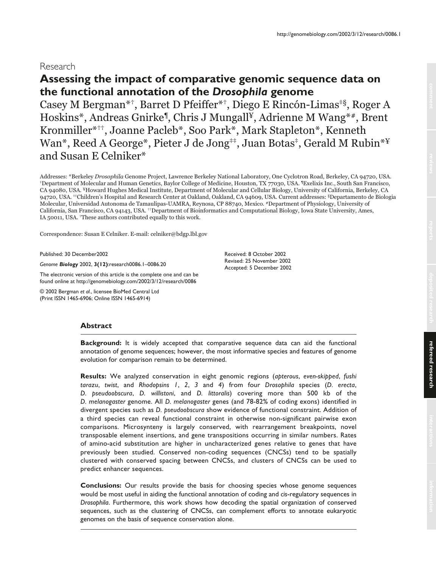# Research

# **Assessing the impact of comparative genomic sequence data on the functional annotation of the** *Drosophila* **genome**

Casey M Bergman\*†, Barret D Pfeiffer\*†, Diego E Rincón-Limas‡§, Roger A Hoskins\*, Andreas Gnirke¶, Chris J Mungall¥, Adrienne M Wang\*#, Brent Kronmiller\*††, Joanne Pacleb\*, Soo Park\*, Mark Stapleton\*, Kenneth Wan\*, Reed A George\*, Pieter J de Jong<sup>‡‡</sup>, Juan Botas<sup>‡</sup>, Gerald M Rubin<sup>\*¥</sup> and Susan E Celniker\*

Addresses: \*Berkeley Drosophila Genome Project, Lawrence Berkeley National Laboratory, One Cyclotron Road, Berkeley, CA 94720, USA. ‡Department of Molecular and Human Genetics, Baylor College of Medicine, Houston, TX 77030, USA. ¶Exelixis Inc., South San Francisco, CA 94080, USA. ¥Howard Hughes Medical Institute, Department of Molecular and Cellular Biology, University of California, Berkeley, CA 94720, USA. <sup>#‡</sup>Children's Hospital and Research Center at Oakland, Oakland, CA 94609, USA. Current addresses: §Departamento de Biologia Molecular, Universidad Autonoma de Tamaulipas-UAMRA, Reynosa, CP 88740, Mexico. #Department of Physiology, University of California, San Francisco, CA 94143, USA. ††Department of Bioinformatics and Computational Biology, Iowa State University, Ames, IA 50011, USA. †These authors contributed equally to this work.

Correspondence: Susan E Celniker. E-mail: celniker@bdgp.lbl.gov

Published: 30 December2002

*Genome Biology* 2002, **3(12)**:research0086.1–0086.20

The electronic version of this article is the complete one and can be found online at http://genomebiology.com/2002/3/12/research/0086

© 2002 Bergman *et al*., licensee BioMed Central Ltd (Print ISSN 1465-6906; Online ISSN 1465-6914)

Received: 8 October 2002 Revised: 25 November 2002 Accepted: 5 December 2002

# **Abstract**

**Background:** It is widely accepted that comparative sequence data can aid the functional annotation of genome sequences; however, the most informative species and features of genome evolution for comparison remain to be determined.

**Results:** We analyzed conservation in eight genomic regions (*apterous*, *even-skipped*, *fushi tarazu*, *twist*, and *Rhodopsins 1*, *2*, *3* and *4*) from four *Drosophila* species (*D. erecta*, *D. pseudoobscura*, *D. willistoni*, and *D. littoralis*) covering more than 500 kb of the *D. melanogaster* genome. All *D. melanogaster* genes (and 78-82% of coding exons) identified in divergent species such as *D. pseudoobscura* show evidence of functional constraint. Addition of a third species can reveal functional constraint in otherwise non-significant pairwise exon comparisons. Microsynteny is largely conserved, with rearrangement breakpoints, novel transposable element insertions, and gene transpositions occurring in similar numbers. Rates of amino-acid substitution are higher in uncharacterized genes relative to genes that have previously been studied. Conserved non-coding sequences (CNCSs) tend to be spatially clustered with conserved spacing between CNCSs, and clusters of CNCSs can be used to predict enhancer sequences.

**Conclusions:** Our results provide the basis for choosing species whose genome sequences would be most useful in aiding the functional annotation of coding and *cis*-regulatory sequences in *Drosophila*. Furthermore, this work shows how decoding the spatial organization of conserved sequences, such as the clustering of CNCSs, can complement efforts to annotate eukaryotic genomes on the basis of sequence conservation alone.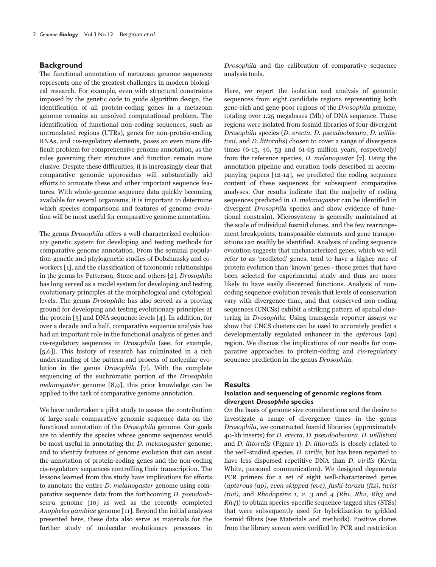### **Background**

The functional annotation of metazoan genome sequences represents one of the greatest challenges in modern biological research. For example, even with structural constraints imposed by the genetic code to guide algorithm design, the identification of all protein-coding genes in a metazoan genome remains an unsolved computational problem. The identification of functional non-coding sequences, such as untranslated regions (UTRs), genes for non-protein-coding RNAs, and cis-regulatory elements, poses an even more difficult problem for comprehensive genome annotation, as the rules governing their structure and function remain more elusive. Despite these difficulties, it is increasingly clear that comparative genomic approaches will substantially aid efforts to annotate these and other important sequence features. With whole-genome sequence data quickly becoming available for several organisms, it is important to determine which species comparisons and features of genome evolution will be most useful for comparative genome annotation.

The genus Drosophila offers a well-characterized evolutionary genetic system for developing and testing methods for comparative genome annotation. From the seminal population-genetic and phylogenetic studies of Dobzhansky and coworkers [1], and the classification of taxonomic relationships in the genus by Patterson, Stone and others [2], Drosophila has long served as a model system for developing and testing evolutionary principles at the morphological and cytological levels. The genus Drosophila has also served as a proving ground for developing and testing evolutionary principles at the protein [3] and DNA sequence levels [4]. In addition, for over a decade and a half, comparative sequence analysis has had an important role in the functional analysis of genes and cis-regulatory sequences in Drosophila (see, for example, [5,6]). This history of research has culminated in a rich understanding of the pattern and process of molecular evolution in the genus Drosophila [7]. With the complete sequencing of the euchromatic portion of the Drosophila melanogaster genome [8,9], this prior knowledge can be applied to the task of comparative genome annotation.

We have undertaken a pilot study to assess the contribution of large-scale comparative genomic sequence data on the functional annotation of the Drosophila genome. Our goals are to identify the species whose genome sequences would be most useful in annotating the *D. melanogaster* genome, and to identify features of genome evolution that can assist the annotation of protein-coding genes and the non-coding cis-regulatory sequences controlling their transcription. The lessons learned from this study have implications for efforts to annotate the entire D. melanogaster genome using comparative sequence data from the forthcoming D. pseudoobscura genome [10] as well as the recently completed Anopheles gambiae genome [11]. Beyond the initial analyses presented here, these data also serve as materials for the further study of molecular evolutionary processes in

Drosophila and the calibration of comparative sequence analysis tools.

Here, we report the isolation and analysis of genomic sequences from eight candidate regions representing both gene-rich and gene-poor regions of the Drosophila genome, totaling over 1.25 megabases (Mb) of DNA sequence. These regions were isolated from fosmid libraries of four divergent Drosophila species (D. erecta, D. pseudoobscura, D. willistoni, and D. littoralis) chosen to cover a range of divergence times  $(6-15, 46, 53, 40, 61-65, 60)$  years, respectively) from the reference species, D. melanogaster [7]. Using the annotation pipeline and curation tools described in accompanying papers [12-14], we predicted the coding sequence content of these sequences for subsequent comparative analyses. Our results indicate that the majority of coding sequences predicted in D. melanogaster can be identified in divergent Drosophila species and show evidence of functional constraint. Microsynteny is generally maintained at the scale of individual fosmid clones, and the few rearrangement breakpoints, transposable elements and gene transpositions can readily be identified. Analysis of coding sequence evolution suggests that uncharacterized genes, which we will refer to as 'predicted' genes, tend to have a higher rate of protein evolution than 'known' genes - those genes that have been selected for experimental study and thus are more likely to have easily discerned functions. Analysis of noncoding sequence evolution reveals that levels of conservation vary with divergence time, and that conserved non-coding sequences (CNCSs) exhibit a striking pattern of spatial clustering in Drosophila. Using transgenic reporter assays we show that CNCS clusters can be used to accurately predict a developmentally regulated enhancer in the apterous (ap) region. We discuss the implications of our results for comparative approaches to protein-coding and cis-regulatory sequence prediction in the genus Drosophila.

### **Results**

### **Isolation and sequencing of genomic regions from divergent** *Drosophila* **species**

On the basis of genome size considerations and the desire to investigate a range of divergence times in the genus Drosophila, we constructed fosmid libraries (approximately 40-kb inserts) for D. erecta, D. pseudoobscura, D. willistoni and D. littoralis (Figure 1). D. littoralis is closely related to the well-studied species, D. virilis, but has been reported to have less dispersed repetitive DNA than *D. virilis* (Kevin White, personal communication). We designed degenerate PCR primers for a set of eight well-characterized genes (apterous (ap), even-skipped (eve), fushi-tarazu (ftz), twist (twi), and Rhodopsins 1, 2, 3 and 4 (Rh1, Rh2, Rh3 and Rh4)) to obtain species-specific sequence-tagged sites (STSs) that were subsequently used for hybridization to gridded fosmid filters (see Materials and methods). Positive clones from the library screen were verified by PCR and restriction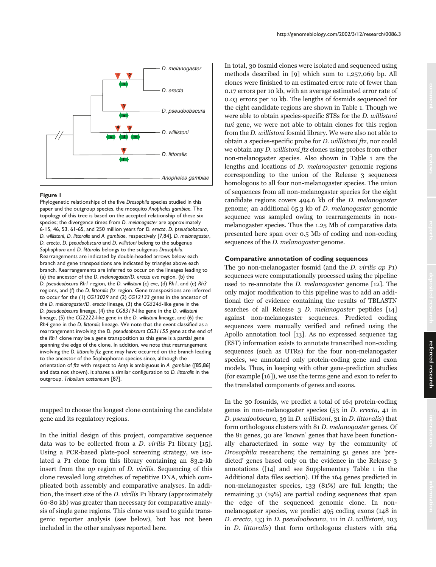

Phylogenetic relationships of the five *Drosophila* species studied in this paper and the outgroup species, the mosquito *Anopheles gambiae*. The topology of this tree is based on the accepted relationship of these six species; the divergence times from *D. melanogaster* are approximately 6-15, 46, 53, 61-65, and 250 million years for *D. erecta*, *D. pseudoobscura*, *D. willistoni*, *D. littoralis* and *A. gambiae*, respectively [7,84]. *D. melanogaster*, *D. erecta*, *D. pseudoobscura* and *D. willistoni* belong to the subgenus *Sophophora* and *D. littoralis* belongs to the subgenus *Drosophila*. Rearrangements are indicated by double-headed arrows below each branch and gene transpositions are indicated by triangles above each branch. Rearrangements are inferred to occur on the lineages leading to (a) the ancestor of the *D. melanogaster/D. erecta eve* region, (b) the *D. pseudoobscura Rh1* region, the *D. willistoni* (c) *eve*, (d) *Rh1*, and (e) *Rh3* regions, and (f) the *D. littoralis ftz* region. Gene transpositions are inferred to occur for the (1) *CG13029* and (2) *CG12133* genes in the ancestor of the *D. melanogaster/D. erecta* lineage, (3) the *CG5245*-like gene in the *D. pseudoobscura* lineage, (4) the *CG8319*-like gene in the *D. willistoni* lineage, (5) the *CG2222*-like gene in the *D. willistoni* lineage, and (6) the *Rh4* gene in the *D. littoralis* lineage. We note that the event classified as a rearrangement involving the *D. pseudoobscura CG31155* gene at the end of the *Rh1* clone may be a gene transposition as this gene is a partial gene spanning the edge of the clone. In addition, we note that rearrangement involving the *D. littoralis ftz* gene may have occurred on the branch leading to the ancestor of the Sophophoran species since, although the orientation of *ftz* with respect to *Antp* is ambiguous in *A. gambiae* ([85,86] and data not shown), it shares a similar configuration to *D. littoralis* in the outgroup, *Tribolium castaneum* [87].

mapped to choose the longest clone containing the candidate gene and its regulatory regions.

In the initial design of this project, comparative sequence data was to be collected from a D. virilis P1 library [15]. Using a PCR-based plate-pool screening strategy, we isolated a P1 clone from this library containing an 83.2-kb insert from the ap region of D. virilis. Sequencing of this clone revealed long stretches of repetitive DNA, which complicated both assembly and comparative analyses. In addition, the insert size of the D. virilis P1 library (approximately 60-80 kb) was greater than necessary for comparative analysis of single gene regions. This clone was used to guide transgenic reporter analysis (see below), but has not been included in the other analyses reported here.

In total, 30 fosmid clones were isolated and sequenced using methods described in [9] which sum to 1,257,069 bp. All clones were finished to an estimated error rate of fewer than 0.17 errors per 10 kb, with an average estimated error rate of 0.03 errors per 10 kb. The lengths of fosmids sequenced for the eight candidate regions are shown in Table 1. Though we were able to obtain species-specific STSs for the D. willistoni twi gene, we were not able to obtain clones for this region from the D. willistoni fosmid library. We were also not able to obtain a species-specific probe for D. willistoni ftz, nor could we obtain any D. willistoni ftz clones using probes from other non-melanogaster species. Also shown in Table 1 are the lengths and locations of D. melanogaster genomic regions corresponding to the union of the Release 3 sequences homologous to all four non-melanogaster species. The union of sequences from all non-melanogaster species for the eight candidate regions covers 494.6 kb of the D. melanogaster genome; an additional 65.3 kb of D. melanogaster genomic sequence was sampled owing to rearrangements in nonmelanogaster species. Thus the 1.25 Mb of comparative data presented here span over 0.5 Mb of coding and non-coding sequences of the *D*. melanogaster genome.

### **Comparative annotation of coding sequences**

The 30 non-melanogaster fosmid (and the *D. virilis ap* P1) sequences were computationally processed using the pipeline used to re-annotate the D. melanogaster genome [12]. The only major modification to this pipeline was to add an additional tier of evidence containing the results of TBLASTN searches of all Release 3 D. melanogaster peptides [14] against non-melanogaster sequences. Predicted coding sequences were manually verified and refined using the Apollo annotation tool [13]. As no expressed sequence tag (EST) information exists to annotate transcribed non-coding sequences (such as UTRs) for the four non-melanogaster species, we annotated only protein-coding gene and exon models. Thus, in keeping with other gene-prediction studies (for example [16]), we use the terms gene and exon to refer to the translated components of genes and exons.

In the 30 fosmids, we predict a total of 164 protein-coding genes in non-melanogaster species (53 in D. erecta, 41 in D. pseudoobscura, 39 in D. willistoni, 31 in D. littoralis) that form orthologous clusters with 81 D. melanogaster genes. Of the 81 genes, 30 are 'known' genes that have been functionally characterized in some way by the community of Drosophila researchers; the remaining 51 genes are 'predicted' genes based only on the evidence in the Release 3 annotations ([14] and see Supplementary Table 1 in the Additional data files section). Of the 164 genes predicted in non-melanogaster species, 133 (81%) are full length; the remaining 31 (19%) are partial coding sequences that span the edge of the sequenced genomic clone. In nonmelanogaster species, we predict 495 coding exons (148 in D. erecta, 133 in D. pseudoobscura, 111 in D. willistoni, 103 in D. littoralis) that form orthologous clusters with 264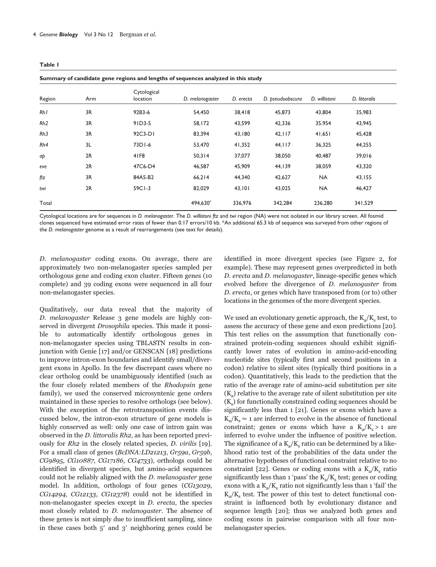| ۰.<br>٠ |
|---------|
|---------|

**Summary of candidate gene regions and lengths of sequences analyzed in this study**

| Region | Arm | Cytological<br><b>location</b> | D. melanogaster | D. erecta | D. pseudoobscura | D. willistoni | D. littoralis |
|--------|-----|--------------------------------|-----------------|-----------|------------------|---------------|---------------|
| Rh1    | 3R  | 92B3-6                         | 54,450          | 38,418    | 45,873           | 43,804        | 35,983        |
| Rh2    | 3R  | $91D3-5$                       | 58,172          | 43,599    | 42,336           | 35,954        | 43,945        |
| Rh3    | 3R  | 92C3-DI                        | 83,394          | 43,180    | 42,117           | 41,651        | 45,428        |
| Rh4    | 3L  | 73D1-6                         | 53,470          | 41,352    | 44, 117          | 36,325        | 44,255        |
| аþ     | 2R  | 41F8                           | 50,314          | 37,077    | 38,050           | 40,487        | 39,016        |
| eve    | 2R  | 47C6-D4                        | 46,587          | 45,909    | 44,139           | 38,059        | 43,320        |
| ftz    | 3R  | 84A5-B2                        | 66,214          | 44,340    | 42,627           | <b>NA</b>     | 43,155        |
| twi    | 2R  | $59C1-3$                       | 82,029          | 43,101    | 43,025           | <b>NA</b>     | 46,427        |
| Total  |     |                                | 494,630*        | 336,976   | 342,284          | 236,280       | 341,529       |

Cytological locations are for sequences in *D. melanogaster*. The *D. willistoni ftz* and *twi* region (NA) were not isolated in our library screen. All fosmid clones sequenced have estimated error rates of fewer than 0.17 errors/10 kb. \*An additional 65.3 kb of sequence was surveyed from other regions of the *D. melanogaster* genome as a result of rearrangements (see text for details).

D. melanogaster coding exons. On average, there are approximately two non-melanogaster species sampled per orthologous gene and coding exon cluster. Fifteen genes (10 complete) and 39 coding exons were sequenced in all four non-melanogaster species.

Qualitatively, our data reveal that the majority of D. melanogaster Release 3 gene models are highly conserved in divergent Drosophila species. This made it possible to automatically identify orthologous genes in non-melanogaster species using TBLASTN results in conjunction with Genie [17] and/or GENSCAN [18] predictions to improve intron-exon boundaries and identify small/divergent exons in Apollo. In the few discrepant cases where no clear ortholog could be unambiguously identified (such as the four closely related members of the Rhodopsin gene family), we used the conserved microsyntenic gene orders maintained in these species to resolve orthologs (see below). With the exception of the retrotransposition events discussed below, the intron-exon structure of gene models is highly conserved as well: only one case of intron gain was observed in the D. littoralis Rh2, as has been reported previously for Rh2 in the closely related species, D. virilis [19]. For a small class of genes (BcDNA:LD21213, Gr59a, Gr59b, CG9895, CG10887, CG17186, CG4733), orthologs could be identified in divergent species, but amino-acid sequences could not be reliably aligned with the D. melanogaster gene model. In addition, orthologs of four genes (CG13029, CG14294, CG12133, CG12378) could not be identified in non-melanogaster species except in D. erecta, the species most closely related to D. melanogaster. The absence of these genes is not simply due to insufficient sampling, since in these cases both  $5'$  and  $3'$  neighboring genes could be

identified in more divergent species (see Figure 2, for example). These may represent genes overpredicted in both D. erecta and D. melanogaster, lineage-specific genes which evolved before the divergence of D. melanogaster from D. erecta, or genes which have transposed from (or to) other locations in the genomes of the more divergent species.

We used an evolutionary genetic approach, the  $K_{a}/K_{s}$  test, to assess the accuracy of these gene and exon predictions [20]. This test relies on the assumption that functionally constrained protein-coding sequences should exhibit significantly lower rates of evolution in amino-acid-encoding nucleotide sites (typically first and second positions in a codon) relative to silent sites (typically third positions in a codon). Quantitatively, this leads to the prediction that the ratio of the average rate of amino-acid substitution per site  $(K_{a})$  relative to the average rate of silent substitution per site  $(K<sub>s</sub>)$  for functionally constrained coding sequences should be significantly less than 1 [21]. Genes or exons which have a  $K_a/K_s \approx 1$  are inferred to evolve in the absence of functional constraint; genes or exons which have a  $K_a/K_s > 1$  are inferred to evolve under the influence of positive selection. The significance of a  $K_a/K_s$  ratio can be determined by a likelihood ratio test of the probabilities of the data under the alternative hypotheses of functional constraint relative to no constraint [22]. Genes or coding exons with a  $K_a/K_s$  ratio significantly less than 1 'pass' the  $K_a/K_s$  test; genes or coding exons with a  $K_{\alpha}/K_{\alpha}$  ratio not significantly less than 1 'fail' the  $K_a/K_s$  test. The power of this test to detect functional constraint is influenced both by evolutionary distance and sequence length [20]; thus we analyzed both genes and coding exons in pairwise comparison with all four nonmelanogaster species.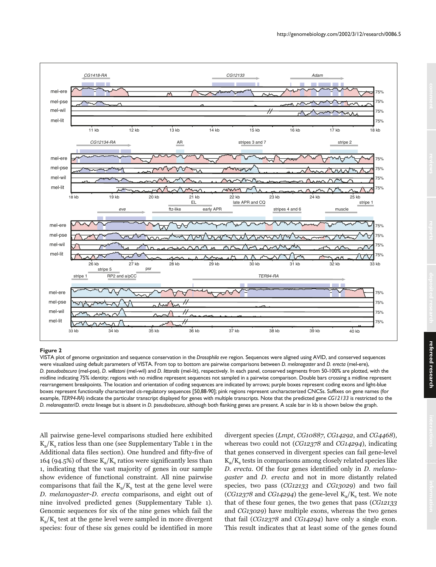

VISTA plot of genome organization and sequence conservation in the *Drosophila eve* region. Sequences were aligned using AVID, and conserved sequences were visualized using default parameters of VISTA. From top to bottom are pairwise comparisons between *D. melanogaster* and *D. erecta* (mel-ere), *D. pseudoobscura* (mel-pse), *D. willistoni* (mel-wil) and *D. littoralis* (mel-lit), respectively. In each panel, conserved segments from 50-100% are plotted, with the midline indicating 75% identity; regions with no midline represent sequences not sampled in a pairwise comparison. Double bars crossing a midline represent rearrangement breakpoints. The location and orientation of coding sequences are indicated by arrows; purple boxes represent coding exons and light-blue boxes represent functionally characterized *cis*-regulatory sequences [50,88-90]; pink regions represent uncharacterized CNCSs. Suffixes on gene names (for example, *TER94-RA*) indicate the particular transcript displayed for genes with multiple transcripts. Note that the predicted gene *CG12133* is restricted to the *D. melanogaster*/*D. erecta* lineage but is absent in *D. pseudoobscura*, although both flanking genes are present. A scale bar in kb is shown below the graph.

All pairwise gene-level comparisons studied here exhibited  $K_a/K_s$  ratios less than one (see Supplementary Table 1 in the Additional data files section). One hundred and fifty-five of 164 (94.5%) of these  $K_{\alpha}/K_{\alpha}$  ratios were significantly less than 1, indicating that the vast majority of genes in our sample show evidence of functional constraint. All nine pairwise comparisons that fail the  $K_a/K_s$  test at the gene level were D. melanogaster-D. erecta comparisons, and eight out of nine involved predicted genes (Supplementary Table 1). Genomic sequences for six of the nine genes which fail the  $K_a/K_s$  test at the gene level were sampled in more divergent species: four of these six genes could be identified in more

divergent species (Lmpt, CG10887, CG14292, and CG4468), whereas two could not (CG12378 and CG14294), indicating that genes conserved in divergent species can fail gene-level  $K_{\alpha}/K_{\alpha}$  tests in comparisons among closely related species like D. erecta. Of the four genes identified only in D. melanogaster and D. erecta and not in more distantly related species, two pass (CG12133 and CG13029) and two fail (CG12378 and CG14294) the gene-level  $K_a/K_s$  test. We note that of these four genes, the two genes that pass (CG12133 and CG13029) have multiple exons, whereas the two genes that fail (CG12378 and CG14294) have only a single exon. This result indicates that at least some of the genes found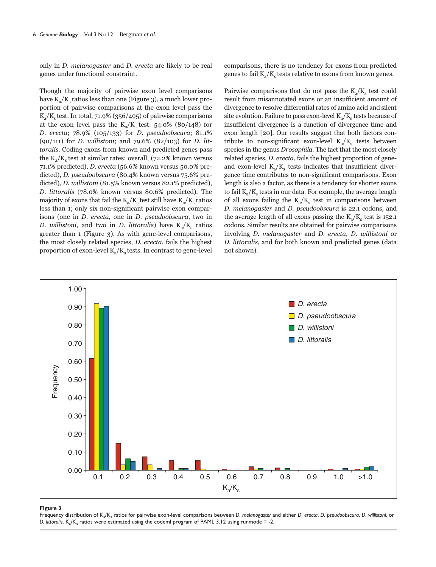only in D. melanogaster and D. erecta are likely to be real genes under functional constraint.

Though the majority of pairwise exon level comparisons have  $K_{\alpha}/K_{\alpha}$  ratios less than one (Figure 3), a much lower proportion of pairwise comparisons at the exon level pass the  $K_a/K_s$  test. In total, 71.9% (356/495) of pairwise comparisons at the exon level pass the  $K_a/K_s$  test: 54.0% (80/148) for D. erecta; 78.9% (105/133) for D. pseudoobscura; 81.1%  $(90/111)$  for *D. willistoni*; and 79.6%  $(82/103)$  for *D. lit*toralis. Coding exons from known and predicted genes pass the  $K_a/K_c$  test at similar rates: overall, (72.2% known versus 71.1% predicted), D. erecta (56.6% known versus 50.0% predicted), D. pseudoobscura (80.4% known versus 75.6% predicted), D. willistoni (81.5% known versus 82.1% predicted), D. littoralis (78.0% known versus 80.6% predicted). The majority of exons that fail the  $K_{\rm s}/K_{\rm s}$  test still have  $K_{\rm s}/K_{\rm s}$  ratios less than 1; only six non-significant pairwise exon comparisons (one in D. erecta, one in D. pseudoobscura, two in D. willistoni, and two in D. littoralis) have  $K_a/K_s$  ratios greater than 1 (Figure 3). As with gene-level comparisons, the most closely related species, D. erecta, fails the highest proportion of exon-level  $K_a/K_s$  tests. In contrast to gene-level

comparisons, there is no tendency for exons from predicted genes to fail  $K_{\alpha}/K_{\alpha}$  tests relative to exons from known genes.

Pairwise comparisons that do not pass the  $K_a/K_s$  test could result from misannotated exons or an insufficient amount of divergence to resolve differential rates of amino acid and silent site evolution. Failure to pass exon-level  $K_a/K_s$  tests because of insufficient divergence is a function of divergence time and exon length [20]. Our results suggest that both factors contribute to non-significant exon-level  $K_{\alpha}/K_{\alpha}$  tests between species in the genus Drosophila. The fact that the most closely related species, D. erecta, fails the highest proportion of geneand exon-level  $K_{a}/K_{s}$  tests indicates that insufficient divergence time contributes to non-significant comparisons. Exon length is also a factor, as there is a tendency for shorter exons to fail  $K_a/K_s$  tests in our data. For example, the average length of all exons failing the  $K_a/K_s$  test in comparisons between D. melanogaster and D. pseudoobscura is 22.1 codons, and the average length of all exons passing the  $K_{\alpha}/K_{\alpha}$  test is 152.1 codons. Similar results are obtained for pairwise comparisons involving D. melanogaster and D. erecta, D. willistoni or D. littoralis, and for both known and predicted genes (data not shown).



#### **Figure 3**

Frequency distribution of Ka/Ks ratios for pairwise exon-level comparisons between *D. melanogaster* and either *D. erecta*, *D. pseudoobscura*, *D. willistoni*, or *D. littoralis*. K<sub>2</sub>/K<sub>s</sub> ratios were estimated using the codeml program of PAML 3.12 using runmode = -2.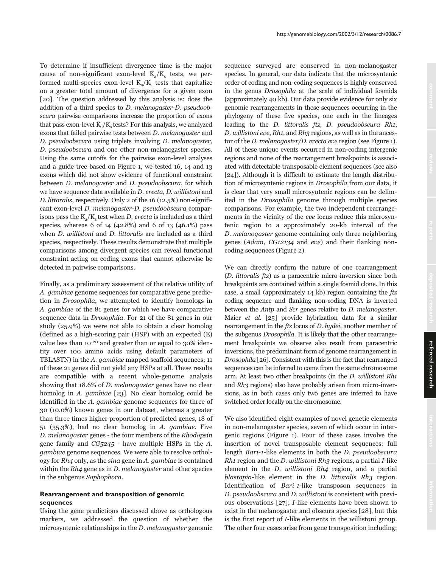To determine if insufficient divergence time is the major cause of non-significant exon-level  $K_2/K_s$  tests, we performed multi-species exon-level  $K_{\alpha}/K_{\alpha}$  tests that capitalize on a greater total amount of divergence for a given exon [20]. The question addressed by this analysis is: does the addition of a third species to D. melanogaster-D. pseudoobscura pairwise comparisons increase the proportion of exons that pass exon-level  $K_{\alpha}/K_{\alpha}$  tests? For this analysis, we analyzed exons that failed pairwise tests between D. melanogaster and D. pseudoobscura using triplets involving D. melanogaster, D. pseudoobscura and one other non-melanogaster species. Using the same cutoffs for the pairwise exon-level analyses and a guide tree based on Figure 1, we tested 16, 14 and 13 exons which did not show evidence of functional constraint between D. melanogaster and D. pseudoobscura, for which we have sequence data available in D. erecta, D. willistoni and D. littoralis, respectively. Only 2 of the 16 (12.5%) non-significant exon-level D. melanogaster-D. pseudoobscura comparisons pass the  $K_{a}/K_{c}$  test when D. erecta is included as a third species, whereas 6 of 14 (42.8%) and 6 of 13 (46.1%) pass when *D. willistoni* and *D. littoralis* are included as a third species, respectively. These results demonstrate that multiple comparisons among divergent species can reveal functional constraint acting on coding exons that cannot otherwise be detected in pairwise comparisons.

Finally, as a preliminary assessment of the relative utility of A. gambiae genome sequences for comparative gene prediction in Drosophila, we attempted to identify homologs in A. gambiae of the 81 genes for which we have comparative sequence data in Drosophila. For 21 of the 81 genes in our study (25.9%) we were not able to obtain a clear homolog (defined as a high-scoring pair (HSP) with an expected (E) value less than 10<sup>-20</sup> and greater than or equal to 30% identity over 100 amino acids using default parameters of TBLASTN) in the A. gambiae mapped scaffold sequences; 11 of these 21 genes did not yield any HSPs at all. These results are compatible with a recent whole-genome analysis showing that 18.6% of D. melanogaster genes have no clear homolog in A. gambiae [23]. No clear homolog could be identified in the A. gambiae genome sequences for three of 30 (10.0%) known genes in our dataset, whereas a greater than three times higher proportion of predicted genes, 18 of 51 (35.3%), had no clear homolog in A. gambiae. Five D. melanogaster genes - the four members of the Rhodopsin gene family and  $CG5245$  - have multiple HSPs in the A. gambiae genome sequences. We were able to resolve orthology for Rh4 only, as the sina gene in A. gambiae is contained within the Rh4 gene as in D. melanogaster and other species in the subgenus Sophophora.

# **Rearrangement and transposition of genomic sequences**

Using the gene predictions discussed above as orthologous markers, we addressed the question of whether the microsyntenic relationships in the D. melanogaster genomic sequence surveyed are conserved in non-melanogaster species. In general, our data indicate that the microsyntenic order of coding and non-coding sequences is highly conserved in the genus Drosophila at the scale of individual fosmids (approximately 40 kb). Our data provide evidence for only six genomic rearrangements in these sequences occurring in the phylogeny of these five species, one each in the lineages leading to the D. littoralis ftz, D. pseudoobscura Rh1, D. willistoni eve, Rh1, and Rh3 regions, as well as in the ancestor of the D. melanogaster/D. erecta eve region (see Figure 1). All of these unique events occurred in non-coding intergenic regions and none of the rearrangement breakpoints is associated with detectable transposable element sequences (see also [24]). Although it is difficult to estimate the length distribution of microsyntenic regions in Drosophila from our data, it is clear that very small microsyntenic regions can be delimited in the Drosophila genome through multiple species comparisons. For example, the two independent rearrangements in the vicinity of the eve locus reduce this microsyntenic region to a approximately 20-kb interval of the D. melanogaster genome containing only three neighboring genes (Adam, CG12134 and eve) and their flanking noncoding sequences (Figure 2).

We can directly confirm the nature of one rearrangement (D. littoralis ftz) as a paracentric micro-inversion since both breakpoints are contained within a single fosmid clone. In this case, a small (approximately 14 kb) region containing the ftz coding sequence and flanking non-coding DNA is inverted between the Antp and Scr genes relative to D. melanogaster. Maier et al. [25] provide hybrization data for a similar rearrangement in the ftz locus of D. hydei, another member of the subgenus Drosophila. It is likely that the other rearrangement breakpoints we observe also result from paracentric inversions, the predominant form of genome rearrangement in Drosophila [26]. Consistent with this is the fact that rearranged sequences can be inferred to come from the same chromosome arm. At least two other breakpoints (in the D. willistoni Rh1 and Rh3 regions) also have probably arisen from micro-inversions, as in both cases only two genes are inferred to have switched order locally on the chromosome.

We also identified eight examples of novel genetic elements in non-melanogaster species, seven of which occur in intergenic regions (Figure 1). Four of these cases involve the insertion of novel transposable element sequences: full length Bari-1-like elements in both the D. pseudoobscura Rh1 region and the *D. willistoni Rh3* regions, a partial *I*-like element in the D. willistoni Rh4 region, and a partial blastopia-like element in the *D. littoralis Rh3* region. Identification of Bari-1-like transposon sequences in D. pseudoobscura and D. willistoni is consistent with previous observations [27]; I-like elements have been shown to exist in the melanogaster and obscura species [28], but this is the first report of I-like elements in the willistoni group. The other four cases arise from gene transposition including: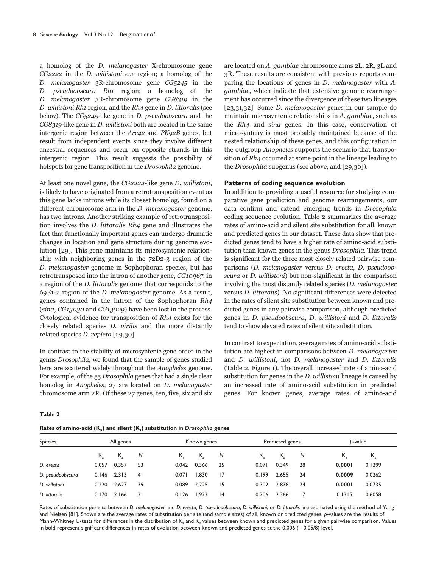a homolog of the D. melanogaster X-chromosome gene CG2222 in the D. willistoni eve region; a homolog of the D. melanogaster 3R-chromosome gene CG5245 in the D. pseudoobscura Rh1 region; a homolog of the D. melanogaster 3R-chromosome gene CG8319 in the D. willistoni Rh1 region, and the Rh4 gene in D. littoralis (see below). The CG5245-like gene in D. pseudoobscura and the CG8319-like gene in D. willistoni both are located in the same intergenic region between the Arc42 and PK92B genes, but result from independent events since they involve different ancestral sequences and occur on opposite strands in this intergenic region. This result suggests the possibility of hotspots for gene transposition in the Drosophila genome.

At least one novel gene, the CG2222-like gene D. willistoni, is likely to have originated from a retrotransposition event as this gene lacks introns while its closest homolog, found on a different chromosome arm in the *D*. melanogaster genome, has two introns. Another striking example of retrotransposition involves the D. littoralis Rh4 gene and illustrates the fact that functionally important genes can undergo dramatic changes in location and gene structure during genome evolution [29]. This gene maintains its microsyntenic relationship with neighboring genes in the 72D2-3 region of the D. melanogaster genome in Sophophoran species, but has retrotransposed into the intron of another gene, CG10967, in a region of the D. littoralis genome that corresponds to the 69E1-2 region of the D. melanogaster genome. As a result, genes contained in the intron of the Sophophoran Rh4 (sina, CG13030 and CG13029) have been lost in the process. Cytological evidence for transposition of Rh4 exists for the closely related species D. virilis and the more distantly related species D. repleta [29,30].

In contrast to the stability of microsyntenic gene order in the genus Drosophila, we found that the sample of genes studied here are scattered widely throughout the *Anopheles* genome. For example, of the 55 Drosophila genes that had a single clear homolog in Anopheles, 27 are located on D. melanogaster chromosome arm 2R. Of these 27 genes, ten, five, six and six are located on A. gambiae chromosome arms 2L, 2R, 3L and 3R. These results are consistent with previous reports comparing the locations of genes in D. melanogaster with A. gambiae, which indicate that extensive genome rearrangement has occurred since the divergence of these two lineages [23,31,32]. Some D. melanogaster genes in our sample do maintain microsyntenic relationships in A. gambiae, such as the Rh4 and sina genes. In this case, conservation of microsynteny is most probably maintained because of the nested relationship of these genes, and this configuration in the outgroup Anopheles supports the scenario that transposition of Rh4 occurred at some point in the lineage leading to the Drosophila subgenus (see above, and [29,30]).

### **Patterns of coding sequence evolution**

In addition to providing a useful resource for studying comparative gene prediction and genome rearrangements, our data confirm and extend emerging trends in Drosophila coding sequence evolution. Table 2 summarizes the average rates of amino-acid and silent site substitution for all, known and predicted genes in our dataset. These data show that predicted genes tend to have a higher rate of amino-acid substitution than known genes in the genus Drosophila. This trend is significant for the three most closely related pairwise comparisons (D. melanogaster versus D. erecta, D. pseudoobscura or D. willistoni) but non-significant in the comparison involving the most distantly related species (D. melanogaster versus D. littoralis). No significant differences were detected in the rates of silent site substitution between known and predicted genes in any pairwise comparison, although predicted genes in D. pseudoobscura, D. willistoni and D. littoralis tend to show elevated rates of silent site substitution.

In contrast to expectation, average rates of amino-acid substitution are highest in comparisons between D. melanogaster and D. willistoni, not D. melanogaster and D. littoralis (Table 2, Figure 1). The overall increased rate of amino-acid substitution for genes in the D. willistoni lineage is caused by an increased rate of amino-acid substitution in predicted genes. For known genes, average rates of amino-acid

| $\sim$<br>۰. |  |
|--------------|--|
|--------------|--|

**Rates of amino-acid (K<sub>a</sub>) and silent (K<sub>s</sub>) substitution in** *Drosophila* **genes** 

Species **All genes** All genes Known genes Predicted genes *p*-value Ka Ks *N* Ka Ks *N* Ka Ks *N* Ka Ks *D. erecta* 0.057 0.357 53 0.042 0.366 25 0.071 0.349 28 **0.0001** 0.1299 *D. pseudoobscura* 0.146 2.313 41 0.071 1.830 17 0.199 2.655 24 **0.0009** 0.0262 *D. willistoni* 0.220 2.627 39 0.089 2.225 15 0.302 2.878 24 **0.0001** 0.0735 *D. littoralis* 0.170 2.166 31 0.126 1.923 14 0.206 2.366 17 0.1315 0.6058

Rates of substitution per site between *D. melanogaster* and *D. erecta, D. pseudooobscura*, *D. willistoni*, or *D. littoralis* are estimated using the method of Yang and Nielsen [81]. Shown are the average rates of substitution per site (and sample sizes) of all, known or predicted genes. *p*-values are the results of Mann-Whitney U-tests for differences in the distribution of K<sub>a</sub> and K<sub>s</sub> values between known and predicted genes for a given pairwise comparison. Values in bold represent significant differences in rates of evolution between known and predicted genes at the 0.006 (= 0.05/8) level.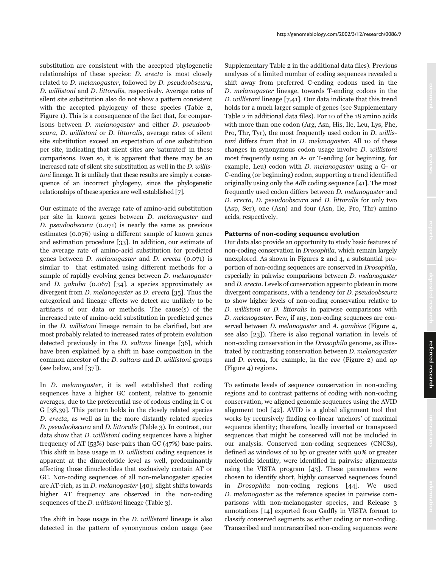substitution are consistent with the accepted phylogenetic relationships of these species: D. erecta is most closely related to D. melanogaster, followed by D. pseudoobscura, D. willistoni and D. littoralis, respectively. Average rates of silent site substitution also do not show a pattern consistent with the accepted phylogeny of these species (Table 2, Figure 1). This is a consequence of the fact that, for comparisons between D. melanogaster and either D. pseudoobscura, D. willistoni or D. littoralis, average rates of silent site substitution exceed an expectation of one substitution per site, indicating that silent sites are 'saturated' in these comparisons. Even so, it is apparent that there may be an increased rate of silent site substitution as well in the D. willistoni lineage. It is unlikely that these results are simply a consequence of an incorrect phylogeny, since the phylogenetic relationships of these species are well established [7].

Our estimate of the average rate of amino-acid substitution per site in known genes between D. melanogaster and D. pseudoobscura (0.071) is nearly the same as previous estimates (0.076) using a different sample of known genes and estimation procedure [33]. In addition, our estimate of the average rate of amino-acid substitution for predicted genes between D. melanogaster and D. erecta (0.071) is similar to that estimated using different methods for a sample of rapidly evolving genes between *D. melanogaster* and D. yakuba (0.067) [34], a species approximately as divergent from D. melanogaster as D. erecta [35]. Thus the categorical and lineage effects we detect are unlikely to be artifacts of our data or methods. The cause(s) of the increased rate of amino-acid substitution in predicted genes in the D. willistoni lineage remain to be clarified, but are most probably related to increased rates of protein evolution detected previously in the D. saltans lineage [36], which have been explained by a shift in base composition in the common ancestor of the D. saltans and D. willistoni groups (see below, and [37]).

In D. melanogaster, it is well established that coding sequences have a higher GC content, relative to genomic averages, due to the preferential use of codons ending in C or G [38,39]. This pattern holds in the closely related species D. erecta, as well as in the more distantly related species D. pseudoobscura and D. littoralis (Table 3). In contrast, our data show that D. willistoni coding sequences have a higher frequency of AT (53%) base-pairs than GC (47%) base-pairs. This shift in base usage in D. willistoni coding sequences is apparent at the dinucelotide level as well, predominantly affecting those dinucleotides that exclusively contain AT or GC. Non-coding sequences of all non-melanogaster species are AT-rich, as in D. melanogaster [40]; slight shifts towards higher AT frequency are observed in the non-coding sequences of the *D. willistoni* lineage (Table 3).

The shift in base usage in the *D. willistoni* lineage is also detected in the pattern of synonymous codon usage (see Supplementary Table 2 in the additional data files). Previous analyses of a limited number of coding sequences revealed a shift away from preferred C-ending codons used in the D. melanogaster lineage, towards T-ending codons in the D. willistoni lineage [7,41]. Our data indicate that this trend holds for a much larger sample of genes (see Supplementary Table 2 in additional data files). For 10 of the 18 amino acids with more than one codon (Arg, Asn, His, Ile, Leu, Lys, Phe, Pro, Thr, Tyr), the most frequently used codon in D. willistoni differs from that in D. melanogaster. All 10 of these changes in synonymous codon usage involve D. willistoni most frequently using an A- or T-ending (or beginning, for example, Leu) codon with D. melanogaster using a G- or C-ending (or beginning) codon, supporting a trend identified originally using only the Adh coding sequence [41]. The most frequently used codon differs between D. melanogaster and D. erecta, D. pseudoobscura and D. littoralis for only two (Asp, Ser), one (Asn) and four (Asn, Ile, Pro, Thr) amino acids, respectively.

#### **Patterns of non-coding sequence evolution**

Our data also provide an opportunity to study basic features of non-coding conservation in Drosophila, which remain largely unexplored. As shown in Figures 2 and 4, a substantial proportion of non-coding sequences are conserved in Drosophila, especially in pairwise comparisons between D. melanogaster and D. erecta. Levels of conservation appear to plateau in more divergent comparisons, with a tendency for D. pseudoobscura to show higher levels of non-coding conservation relative to D. willistoni or D. littoralis in pairwise comparisons with D. melanogaster. Few, if any, non-coding sequences are conserved between D. melanogaster and A. gambiae (Figure 4, see also [23]). There is also regional variation in levels of non-coding conservation in the Drosophila genome, as illustrated by contrasting conservation between D. melanogaster and D. erecta, for example, in the eve (Figure 2) and ap (Figure 4) regions.

To estimate levels of sequence conservation in non-coding regions and to contrast patterns of coding with non-coding conservation, we aligned genomic sequences using the AVID alignment tool [42]. AVID is a global alignment tool that works by recursively finding co-linear 'anchors' of maximal sequence identity; therefore, locally inverted or transposed sequences that might be conserved will not be included in our analysis. Conserved non-coding sequences (CNCSs), defined as windows of 10 bp or greater with 90% or greater nucleotide identity, were identified in pairwise alignments using the VISTA program [43]. These parameters were chosen to identify short, highly conserved sequences found in Drosophila non-coding regions [44]. We used D. melanogaster as the reference species in pairwise comparisons with non-melanogaster species, and Release 3 annotations [14] exported from Gadfly in VISTA format to classify conserved segments as either coding or non-coding. Transcribed and nontranscribed non-coding sequences were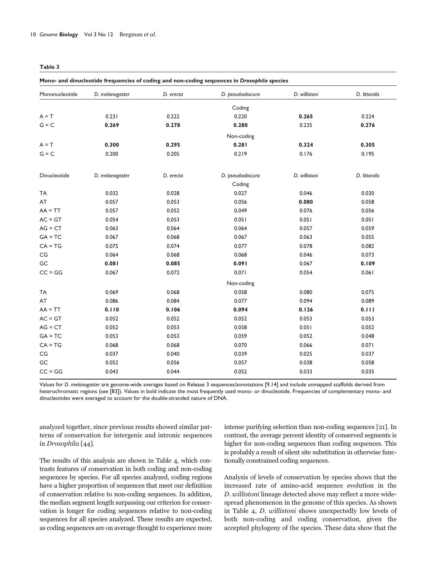| Mono- and dinucleotide frequencies of coding and non-coding sequences in Drosophila species |                 |           |                  |               |               |  |
|---------------------------------------------------------------------------------------------|-----------------|-----------|------------------|---------------|---------------|--|
| Mononucleotide                                                                              | D. melanogaster | D. erecta | D. pseudoobscura | D. willistoni | D. littoralis |  |
|                                                                                             |                 |           | Coding           |               |               |  |
| $A = T$                                                                                     | 0.231           | 0.222     | 0.220            | 0.265         | 0.224         |  |
| $G = C$                                                                                     | 0.269           | 0.278     | 0.280            | 0.235         | 0.276         |  |
|                                                                                             |                 |           | Non-coding       |               |               |  |
| $A = T$                                                                                     | 0.300           | 0.295     | 0.281            | 0.324         | 0.305         |  |
| $G = C$                                                                                     | 0.200           | 0.205     | 0.219            | 0.176         | 0.195         |  |
| Dinucleotide                                                                                | D. melanogaster | D. erecta | D. pseudoobscura | D. willistoni | D. littoralis |  |
|                                                                                             |                 |           | Coding           |               |               |  |
| <b>TA</b>                                                                                   | 0.032           | 0.028     | 0.027            | 0.046         | 0.030         |  |
| AT                                                                                          | 0.057           | 0.053     | 0.056            | 0.080         | 0.058         |  |
| $AA = TT$                                                                                   | 0.057           | 0.052     | 0.049            | 0.076         | 0.056         |  |
| $AC = GT$                                                                                   | 0.054           | 0.053     | 0.051            | 0.051         | 0.051         |  |
| $AG = CT$                                                                                   | 0.063           | 0.064     | 0.064            | 0.057         | 0.059         |  |
| $GA = TC$                                                                                   | 0.067           | 0.068     | 0.067            | 0.063         | 0.055         |  |
| $CA = TG$                                                                                   | 0.075           | 0.074     | 0.077            | 0.078         | 0.082         |  |
| $\mathsf{CG}\phantom{.}$                                                                    | 0.064           | 0.068     | 0.068            | 0.046         | 0.073         |  |
| GC                                                                                          | 0.081           | 0.085     | 0.091            | 0.067         | 0.109         |  |
| $CC = GG$                                                                                   | 0.067           | 0.072     | 0.071            | 0.054         | 0.061         |  |
|                                                                                             |                 |           | Non-coding       |               |               |  |
| <b>TA</b>                                                                                   | 0.069           | 0.068     | 0.058            | 0.080         | 0.075         |  |
| AT                                                                                          | 0.086           | 0.084     | 0.077            | 0.094         | 0.089         |  |
| $AA = TT$                                                                                   | 0.110           | 0.106     | 0.094            | 0.126         | 0.111         |  |
| $AC = GT$                                                                                   | 0.052           | 0.052     | 0.052            | 0.053         | 0.053         |  |
| $AG = CT$                                                                                   | 0.052           | 0.053     | 0.058            | 0.051         | 0.052         |  |
| $GA = TC$                                                                                   | 0.053           | 0.053     | 0.059            | 0.052         | 0.048         |  |
| $CA = TG$                                                                                   | 0.068           | 0.068     | 0.070            | 0.066         | 0.071         |  |
| $\mathsf{CG}\phantom{.}$                                                                    | 0.037           | 0.040     | 0.039            | 0.025         | 0.037         |  |
| GC                                                                                          | 0.052           | 0.056     | 0.057            | 0.038         | 0.058         |  |
| $CC = GG$                                                                                   | 0.043           | 0.044     | 0.052            | 0.033         | 0.035         |  |

Values for *D. melanogaster* are genome-wide averages based on Release 3 sequences/annotations [9,14] and include unmapped scaffolds derived from heterochromatic regions (see [83]). Values in bold indicate the most frequently used mono- or dinucleotide. Frequencies of complementary mono- and dinucleotides were averaged to account for the double-stranded nature of DNA.

analyzed together, since previous results showed similar patterns of conservation for intergenic and intronic sequences in Drosophila [44].

The results of this analysis are shown in Table 4, which contrasts features of conservation in both coding and non-coding sequences by species. For all species analyzed, coding regions have a higher proportion of sequences that meet our definition of conservation relative to non-coding sequences. In addition, the median segment length surpassing our criterion for conservation is longer for coding sequences relative to non-coding sequences for all species analyzed. These results are expected, as coding sequences are on average thought to experience more

intense purifying selection than non-coding sequences [21]. In contrast, the average percent identity of conserved segments is higher for non-coding sequences than coding sequences. This is probably a result of silent site substitution in otherwise functionally constrained coding sequences.

Analysis of levels of conservation by species shows that the increased rate of amino-acid sequence evolution in the D. willistoni lineage detected above may reflect a more widespread phenomenon in the genome of this species. As shown in Table 4, D. willistoni shows unexpectedly low levels of both non-coding and coding conservation, given the accepted phylogeny of the species. These data show that the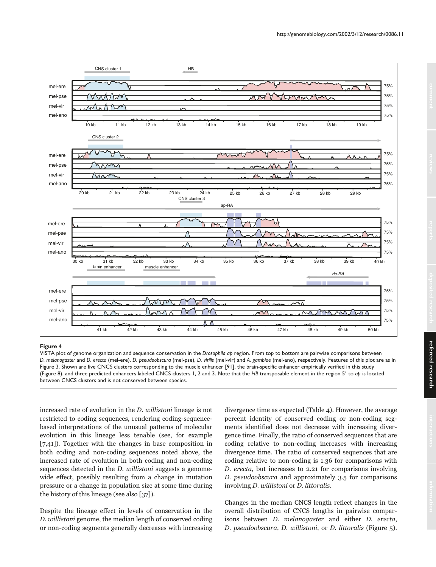

VISTA plot of genome organization and sequence conservation in the *Drosophila ap* region. From top to bottom are pairwise comparisons between *D. melanogaster* and *D. erecta* (mel-ere), *D. pseudoobscura* (mel-pse), *D. virilis* (mel-vir) and *A. gambiae* (mel-ano), respectively. Features of this plot are as in Figure 3. Shown are five CNCS clusters corresponding to the muscle enhancer [91], the brain-specific enhancer empirically verified in this study (Figure 8), and three predicted enhancers labeled CNCS clusters 1, 2 and 3. Note that the *HB* transposable element in the region 5 to *ap* is located between CNCS clusters and is not conserved between species.

increased rate of evolution in the D. willistoni lineage is not restricted to coding sequences, rendering coding-sequencebased interpretations of the unusual patterns of molecular evolution in this lineage less tenable (see, for example [7,41]). Together with the changes in base composition in both coding and non-coding sequences noted above, the increased rate of evolution in both coding and non-coding sequences detected in the *D. willistoni* suggests a genomewide effect, possibly resulting from a change in mutation pressure or a change in population size at some time during the history of this lineage (see also [37]).

Despite the lineage effect in levels of conservation in the D. willistoni genome, the median length of conserved coding or non-coding segments generally decreases with increasing divergence time as expected (Table 4). However, the average percent identity of conserved coding or non-coding segments identified does not decrease with increasing divergence time. Finally, the ratio of conserved sequences that are coding relative to non-coding increases with increasing divergence time. The ratio of conserved sequences that are coding relative to non-coding is 1.36 for comparisons with D. erecta, but increases to 2.21 for comparisons involving D. pseudoobscura and approximately 3.5 for comparisons involving D. willistoni or D. littoralis.

Changes in the median CNCS length reflect changes in the overall distribution of CNCS lengths in pairwise comparisons between D. melanogaster and either D. erecta, D. pseudoobscura, D. willistoni, or D. littoralis (Figure 5).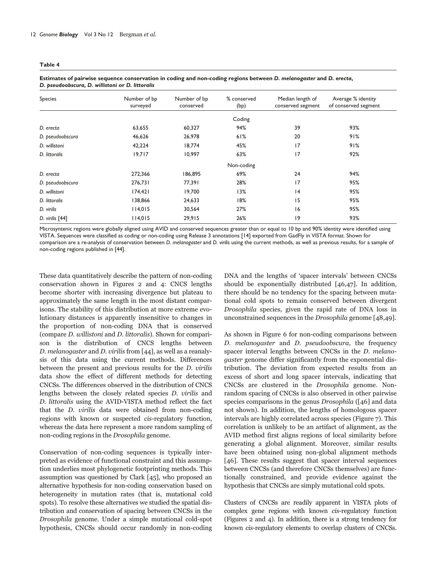#### **Table 4**

| Species          | Number of bp<br>surveyed | Number of bp<br>conserved | % conserved<br>(bp) | Median length of<br>conserved segment | Average % identity<br>of conserved segment |  |
|------------------|--------------------------|---------------------------|---------------------|---------------------------------------|--------------------------------------------|--|
|                  |                          |                           | Coding              |                                       |                                            |  |
| D. erecta        | 63,655                   | 60,327                    | 94%                 | 39                                    | 93%                                        |  |
| D. pseudoobscura | 46,626                   | 26,978                    | 61%                 | 20                                    | 91%                                        |  |
| D. willistoni    | 42,224                   | 18,774                    | 45%                 | 17                                    | 91%                                        |  |
| D. littoralis    | 19,717                   | 10.997                    | 63%                 | 17                                    | 92%                                        |  |
|                  |                          |                           | Non-coding          |                                       |                                            |  |
| D. erecta        | 272,366                  | 186,895                   | 69%                 | 24                                    | 94%                                        |  |
| D. pseudoobscura | 276,731                  | 77,391                    | 28%                 | 17                                    | 95%                                        |  |
| D. willistoni    | 174,421                  | 19,700                    | 13%                 | 4                                     | 95%                                        |  |
| D. littoralis    | 138,866                  | 24,633                    | 18%                 | 15                                    | 95%                                        |  |
| D. virilis       | 114,015                  | 30,564                    | 27%                 | 16                                    | 95%                                        |  |
| D. virilis [44]  | 114,015                  | 29,915                    | 26%                 | 9                                     | 93%                                        |  |
|                  |                          |                           |                     |                                       |                                            |  |

| Estimates of pairwise sequence conservation in coding and non-coding regions between D. melanogaster and D. erecta, |  |
|---------------------------------------------------------------------------------------------------------------------|--|
| D. pseudoobscura, D. willistoni or D. littoralis                                                                    |  |

Microsyntenic regions were globally aligned using AVID and conserved sequences greater than or equal to 10 bp and 90% identity were identified using VISTA. Sequences were classified as coding or non-coding using Release 3 annotations [14] exported from GadFly in VISTA format. Shown for comparison are a re-analysis of conservation between *D. melanogaster* and *D. virilis* using the current methods, as well as previous results, for a sample of non-coding regions published in [44].

These data quantitatively describe the pattern of non-coding conservation shown in Figures 2 and 4: CNCS lengths become shorter with increasing divergence but plateau to approximately the same length in the most distant comparisons. The stability of this distribution at more extreme evolutionary distances is apparently insensitive to changes in the proportion of non-coding DNA that is conserved (compare D. willistoni and D. littoralis). Shown for comparison is the distribution of CNCS lengths between D. melanogaster and D. virilis from [44], as well as a reanalysis of this data using the current methods. Differences between the present and previous results for the D. virilis data show the effect of different methods for detecting CNCSs. The differences observed in the distribution of CNCS lengths between the closely related species D. virilis and D. littoralis using the AVID-VISTA method reflect the fact that the D. virilis data were obtained from non-coding regions with known or suspected cis-regulatory function, whereas the data here represent a more random sampling of non-coding regions in the Drosophila genome.

Conservation of non-coding sequences is typically interpreted as evidence of functional constraint and this assumption underlies most phylogenetic footprinting methods. This assumption was questioned by Clark [45], who proposed an alternative hypothesis for non-coding conservation based on heterogeneity in mutation rates (that is, mutational cold spots). To resolve these alternatives we studied the spatial distribution and conservation of spacing between CNCSs in the Drosophila genome. Under a simple mutational cold-spot hypothesis, CNCSs should occur randomly in non-coding DNA and the lengths of 'spacer intervals' between CNCSs should be exponentially distributed [46,47]. In addition, there should be no tendency for the spacing between mutational cold spots to remain conserved between divergent Drosophila species, given the rapid rate of DNA loss in unconstrained sequences in the Drosophila genome [48,49].

As shown in Figure 6 for non-coding comparisons between D. melanogaster and D. pseudoobscura, the frequency spacer interval lengths between CNCSs in the D. melanogaster genome differ significantly from the exponential distribution. The deviation from expected results from an excess of short and long spacer intervals, indicating that CNCSs are clustered in the Drosophila genome. Nonrandom spacing of CNCSs is also observed in other pairwise species comparisons in the genus Drosophila ([46] and data not shown). In addition, the lengths of homologous spacer intervals are highly correlated across species (Figure 7). This correlation is unlikely to be an artifact of alignment, as the AVID method first aligns regions of local similarity before generating a global alignment. Moreover, similar results have been obtained using non-global alignment methods [46]. These results suggest that spacer interval sequences between CNCSs (and therefore CNCSs themselves) are functionally constrained, and provide evidence against the hypothesis that CNCSs are simply mutational cold spots.

Clusters of CNCSs are readily apparent in VISTA plots of complex gene regions with known cis-regulatory function (Figures 2 and 4). In addition, there is a strong tendency for known cis-regulatory elements to overlap clusters of CNCSs.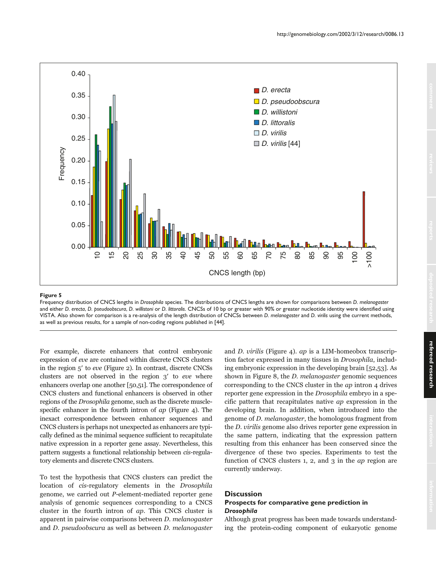

Frequency distribution of CNCS lengths in *Drosophila* species. The distributions of CNCS lengths are shown for comparisons between *D. melanogaster* and either *D. erecta*, *D. pseudoobscura*, *D. willistoni* or *D. littoralis*. CNCSs of 10 bp or greater with 90% or greater nucleotide identity were identified using VISTA. Also shown for comparison is a re-analysis of the length distribution of CNCSs between *D. melanogaster* and *D. virilis* using the current methods, as well as previous results, for a sample of non-coding regions published in [44].

For example, discrete enhancers that control embryonic expression of eve are contained within discrete CNCS clusters in the region  $5'$  to eve (Figure 2). In contrast, discrete CNCSs clusters are not observed in the region  $3'$  to eve where enhancers overlap one another [50,51]. The correspondence of CNCS clusters and functional enhancers is observed in other regions of the Drosophila genome, such as the discrete musclespecific enhancer in the fourth intron of ap (Figure 4). The inexact correspondence between enhancer sequences and CNCS clusters is perhaps not unexpected as enhancers are typically defined as the minimal sequence sufficient to recapitulate native expression in a reporter gene assay. Nevertheless, this pattern suggests a functional relationship between cis-regulatory elements and discrete CNCS clusters.

To test the hypothesis that CNCS clusters can predict the location of cis-regulatory elements in the Drosophila genome, we carried out P-element-mediated reporter gene analysis of genomic sequences corresponding to a CNCS cluster in the fourth intron of ap. This CNCS cluster is apparent in pairwise comparisons between D. melanogaster and D. pseudoobscura as well as between D. melanogaster

and D. virilis (Figure 4). ap is a LIM-homeobox transcription factor expressed in many tissues in Drosophila, including embryonic expression in the developing brain [52,53]. As shown in Figure 8, the *D. melanogaster* genomic sequences corresponding to the CNCS cluster in the ap intron 4 drives reporter gene expression in the Drosophila embryo in a specific pattern that recapitulates native ap expression in the developing brain. In addition, when introduced into the genome of D. melanogaster, the homologous fragment from the D. virilis genome also drives reporter gene expression in the same pattern, indicating that the expression pattern resulting from this enhancer has been conserved since the divergence of these two species. Experiments to test the function of CNCS clusters 1, 2, and 3 in the ap region are currently underway.

# **Discussion**

# **Prospects for comparative gene prediction in** *Drosophila*

Although great progress has been made towards understanding the protein-coding component of eukaryotic genome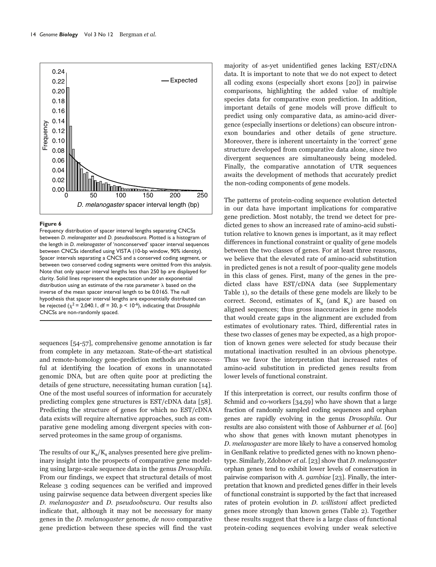

Frequency distribution of spacer interval lengths separating CNCSs between *D. melanogaster* and *D. pseudoobscura*. Plotted is a histogram of the length in *D. melanogaster* of 'nonconserved' spacer interval sequences between CNCSs identified using VISTA (10-bp window, 90% identity). Spacer intervals separating a CNCS and a conserved coding segment, or between two conserved coding segments were omitted from this analysis. Note that only spacer interval lengths less than 250 bp are displayed for clarity. Solid lines represent the expectation under an exponential distribution using an estimate of the rate parameter  $\lambda$  based on the inverse of the mean spacer interval length to be 0.0165. The null hypothesis that spacer interval lengths are exponentially distributed can be rejected ( $\chi^2$  = 2,040.1, df = 30,  $p$  < 10<sup>-6</sup>), indicating that *Drosophila* CNCSs are non-randomly spaced.

sequences [54-57], comprehensive genome annotation is far from complete in any metazoan. State-of-the-art statistical and remote-homology gene-prediction methods are successful at identifying the location of exons in unannotated genomic DNA, but are often quite poor at predicting the details of gene structure, necessitating human curation [14]. One of the most useful sources of information for accurately predicting complex gene structures is EST/cDNA data [58]. Predicting the structure of genes for which no EST/cDNA data exists will require alternative approaches, such as comparative gene modeling among divergent species with conserved proteomes in the same group of organisms.

The results of our  $K_a/K_s$  analyses presented here give preliminary insight into the prospects of comparative gene modeling using large-scale sequence data in the genus Drosophila. From our findings, we expect that structural details of most Release 3 coding sequences can be verified and improved using pairwise sequence data between divergent species like D. melanogaster and D. pseudoobscura. Our results also indicate that, although it may not be necessary for many genes in the D. melanogaster genome, de novo comparative gene prediction between these species will find the vast majority of as-yet unidentified genes lacking EST/cDNA data. It is important to note that we do not expect to detect all coding exons (especially short exons [20]) in pairwise comparisons, highlighting the added value of multiple species data for comparative exon prediction. In addition, important details of gene models will prove difficult to predict using only comparative data, as amino-acid divergence (especially insertions or deletions) can obscure intronexon boundaries and other details of gene structure. Moreover, there is inherent uncertainty in the 'correct' gene structure developed from comparative data alone, since two divergent sequences are simultaneously being modeled. Finally, the comparative annotation of UTR sequences awaits the development of methods that accurately predict the non-coding components of gene models.

The patterns of protein-coding sequence evolution detected in our data have important implications for comparative gene prediction. Most notably, the trend we detect for predicted genes to show an increased rate of amino-acid substitution relative to known genes is important, as it may reflect differences in functional constraint or quality of gene models between the two classes of genes. For at least three reasons, we believe that the elevated rate of amino-acid substitution in predicted genes is not a result of poor-quality gene models in this class of genes. First, many of the genes in the predicted class have EST/cDNA data (see Supplementary Table 1), so the details of these gene models are likely to be correct. Second, estimates of  $K_a$  (and  $K_s$ ) are based on aligned sequences; thus gross inaccuracies in gene models that would create gaps in the alignment are excluded from estimates of evolutionary rates. Third, differential rates in these two classes of genes may be expected, as a high proportion of known genes were selected for study because their mutational inactivation resulted in an obvious phenotype. Thus we favor the interpretation that increased rates of amino-acid substitution in predicted genes results from lower levels of functional constraint.

If this interpretation is correct, our results confirm those of Schmid and co-workers [34,59] who have shown that a large fraction of randomly sampled coding sequences and orphan genes are rapidly evolving in the genus Drosophila. Our results are also consistent with those of Ashburner et al. [60] who show that genes with known mutant phenotypes in D. melanogaster are more likely to have a conserved homolog in GenBank relative to predicted genes with no known phenotype. Similarly, Zdobnov et al. [23] show that D. melanogaster orphan genes tend to exhibit lower levels of conservation in pairwise comparison with A. gambiae [23]. Finally, the interpretation that known and predicted genes differ in their levels of functional constraint is supported by the fact that increased rates of protein evolution in D. willistoni affect predicted genes more strongly than known genes (Table 2). Together these results suggest that there is a large class of functional protein-coding sequences evolving under weak selective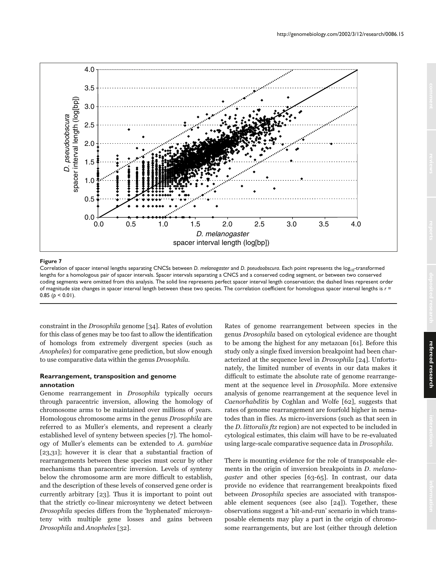

Correlation of spacer interval lengths separating CNCSs between *D. melanogaster* and *D. pseudoobscura*. Each point represents the log<sub>10</sub>-transformed lengths for a homologous pair of spacer intervals. Spacer intervals separating a CNCS and a conserved coding segment, or between two conserved coding segments were omitted from this analysis. The solid line represents perfect spacer interval length conservation; the dashed lines represent order of magnitude size changes in spacer interval length between these two species. The correlation coefficient for homologous spacer interval lengths is *r* = 0.85 ( $p < 0.01$ ).

constraint in the Drosophila genome [34]. Rates of evolution for this class of genes may be too fast to allow the identification of homologs from extremely divergent species (such as Anopheles) for comparative gene prediction, but slow enough to use comparative data within the genus Drosophila.

### **Rearrangement, transposition and genome annotation**

Genome rearrangement in Drosophila typically occurs through paracentric inversion, allowing the homology of chromosome arms to be maintained over millions of years. Homologous chromosome arms in the genus Drosophila are referred to as Muller's elements, and represent a clearly established level of synteny between species [7]. The homology of Muller's elements can be extended to A. gambiae [23,31]; however it is clear that a substantial fraction of rearrangements between these species must occur by other mechanisms than paracentric inversion. Levels of synteny below the chromosome arm are more difficult to establish, and the description of these levels of conserved gene order is currently arbitrary [23]. Thus it is important to point out that the strictly co-linear microsynteny we detect between Drosophila species differs from the 'hyphenated' microsynteny with multiple gene losses and gains between Drosophila and Anopheles [32].

Rates of genome rearrangement between species in the genus Drosophila based on cytological evidence are thought to be among the highest for any metazoan [61]. Before this study only a single fixed inversion breakpoint had been characterized at the sequence level in Drosophila [24]. Unfortunately, the limited number of events in our data makes it difficult to estimate the absolute rate of genome rearrangement at the sequence level in Drosophila. More extensive analysis of genome rearrangement at the sequence level in Caenorhabditis by Coghlan and Wolfe [62], suggests that rates of genome rearrangement are fourfold higher in nematodes than in flies. As micro-inversions (such as that seen in the D. littoralis ftz region) are not expected to be included in cytological estimates, this claim will have to be re-evaluated using large-scale comparative sequence data in Drosophila.

There is mounting evidence for the role of transposable elements in the origin of inversion breakpoints in D. melanogaster and other species [63-65]. In contrast, our data provide no evidence that rearrangement breakpoints fixed between Drosophila species are associated with transposable element sequences (see also [24]). Together, these observations suggest a 'hit-and-run' scenario in which transposable elements may play a part in the origin of chromosome rearrangements, but are lost (either through deletion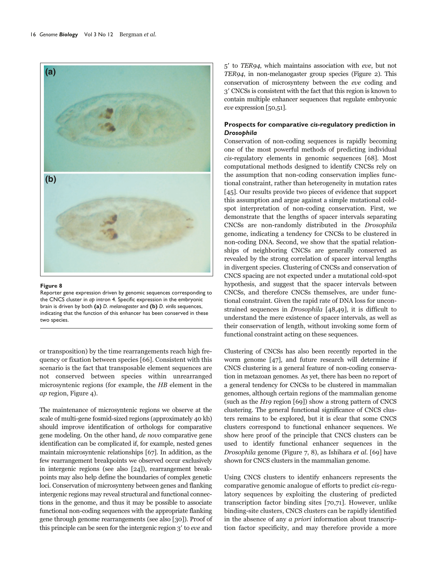

Reporter gene expression driven by genomic sequences corresponding to the CNCS cluster in *ap* intron 4. Specific expression in the embryonic brain is driven by both **(a)** *D. melanogaster* and **(b)** *D. virilis* sequences, indicating that the function of this enhancer has been conserved in these two species.

or transposition) by the time rearrangements reach high frequency or fixation between species [66]. Consistent with this scenario is the fact that transposable element sequences are not conserved between species within unrearranged microsyntenic regions (for example, the HB element in the ap region, Figure 4).

The maintenance of microsyntenic regions we observe at the scale of multi-gene fosmid-sized regions (approximately 40 kb) should improve identification of orthologs for comparative gene modeling. On the other hand, de novo comparative gene identification can be complicated if, for example, nested genes maintain microsyntenic relationships [67]. In addition, as the few rearrangement breakpoints we observed occur exclusively in intergenic regions (see also [24]), rearrangement breakpoints may also help define the boundaries of complex genetic loci. Conservation of microsynteny between genes and flanking intergenic regions may reveal structural and functional connections in the genome, and thus it may be possible to associate functional non-coding sequences with the appropriate flanking gene through genome rearrangements (see also [30]). Proof of this principle can be seen for the intergenic region 3' to eve and 5 to TER94, which maintains association with eve, but not TER94, in non-melanogaster group species (Figure 2). This conservation of microsynteny between the eve coding and 3 CNCSs is consistent with the fact that this region is known to contain multiple enhancer sequences that regulate embryonic eve expression [50,51].

# **Prospects for comparative** *cis***-regulatory prediction in** *Drosophila*

Conservation of non-coding sequences is rapidly becoming one of the most powerful methods of predicting individual cis-regulatory elements in genomic sequences [68]. Most computational methods designed to identify CNCSs rely on the assumption that non-coding conservation implies functional constraint, rather than heterogeneity in mutation rates [45]. Our results provide two pieces of evidence that support this assumption and argue against a simple mutational coldspot interpretation of non-coding conservation. First, we demonstrate that the lengths of spacer intervals separating CNCSs are non-randomly distributed in the Drosophila genome, indicating a tendency for CNCSs to be clustered in non-coding DNA. Second, we show that the spatial relationships of neighboring CNCSs are generally conserved as revealed by the strong correlation of spacer interval lengths in divergent species. Clustering of CNCSs and conservation of CNCS spacing are not expected under a mutational cold-spot hypothesis, and suggest that the spacer intervals between CNCSs, and therefore CNCSs themselves, are under functional constraint. Given the rapid rate of DNA loss for unconstrained sequences in Drosophila [48,49], it is difficult to understand the mere existence of spacer intervals, as well as their conservation of length, without invoking some form of functional constraint acting on these sequences.

Clustering of CNCSs has also been recently reported in the worm genome [47], and future research will determine if CNCS clustering is a general feature of non-coding conservation in metazoan genomes. As yet, there has been no report of a general tendency for CNCSs to be clustered in mammalian genomes, although certain regions of the mammalian genome (such as the H19 region [69]) show a strong pattern of CNCS clustering. The general functional significance of CNCS clusters remains to be explored, but it is clear that some CNCS clusters correspond to functional enhancer sequences. We show here proof of the principle that CNCS clusters can be used to identify functional enhancer sequences in the Drosophila genome (Figure 7, 8), as Ishihara et al. [69] have shown for CNCS clusters in the mammalian genome.

Using CNCS clusters to identify enhancers represents the comparative genomic analogue of efforts to predict cis-regulatory sequences by exploiting the clustering of predicted transcription factor binding sites [70,71]. However, unlike binding-site clusters, CNCS clusters can be rapidly identified in the absence of any a priori information about transcription factor specificity, and may therefore provide a more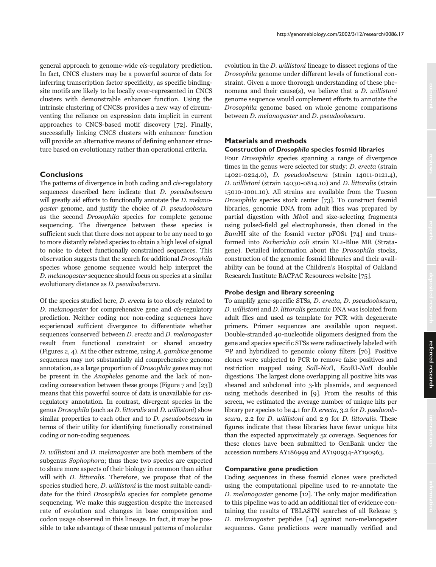general approach to genome-wide cis-regulatory prediction. In fact, CNCS clusters may be a powerful source of data for inferring transcription factor specificity, as specific bindingsite motifs are likely to be locally over-represented in CNCS clusters with demonstrable enhancer function. Using the intrinsic clustering of CNCSs provides a new way of circumventing the reliance on expression data implicit in current approaches to CNCS-based motif discovery [72]. Finally, successfully linking CNCS clusters with enhancer function will provide an alternative means of defining enhancer structure based on evolutionary rather than operational criteria.

# **Conclusions**

The patterns of divergence in both coding and cis-regulatory sequences described here indicate that D. pseudoobscura will greatly aid efforts to functionally annotate the *D. melano*gaster genome, and justify the choice of D. pseudoobscura as the second Drosophila species for complete genome sequencing. The divergence between these species is sufficient such that there does not appear to be any need to go to more distantly related species to obtain a high level of signal to noise to detect functionally constrained sequences. This observation suggests that the search for additional Drosophila species whose genome sequence would help interpret the D. melanogaster sequence should focus on species at a similar evolutionary distance as D. pseudoobscura.

Of the species studied here, D. erecta is too closely related to D. melanogaster for comprehensive gene and cis-regulatory prediction. Neither coding nor non-coding sequences have experienced sufficient divergence to differentiate whether sequences 'conserved' between D. erecta and D. melanogaster result from functional constraint or shared ancestry (Figures 2, 4). At the other extreme, using A. gambiae genome sequences may not substantially aid comprehensive genome annotation, as a large proportion of Drosophila genes may not be present in the Anopheles genome and the lack of noncoding conservation between these groups (Figure 7 and [23]) means that this powerful source of data is unavailable for cisregulatory annotation. In contrast, divergent species in the genus Drosophila (such as D. littoralis and D. willistoni) show similar properties to each other and to D. pseudoobscura in terms of their utility for identifying functionally constrained coding or non-coding sequences.

D. willistoni and D. melanogaster are both members of the subgenus Sophophora; thus these two species are expected to share more aspects of their biology in common than either will with *D. littoralis*. Therefore, we propose that of the species studied here, D. willistoni is the most suitable candidate for the third Drosophila species for complete genome sequencing. We make this suggestion despite the increased rate of evolution and changes in base composition and codon usage observed in this lineage. In fact, it may be possible to take advantage of these unusual patterns of molecular evolution in the D. willistoni lineage to dissect regions of the Drosophila genome under different levels of functional constraint. Given a more thorough understanding of these phenomena and their cause(s), we believe that a D. willistoni genome sequence would complement efforts to annotate the Drosophila genome based on whole genome comparisons between D. melanogaster and D. pseudoobscura.

http://genomebiology.com/2002/3/12/research/0086.17

# **Materials and methods**

# **Construction of** *Drosophila* **species fosmid libraries**

Four Drosophila species spanning a range of divergence times in the genus were selected for study: D. erecta (strain 14021-0224.0), D. pseudoobscura (strain 14011-0121.4), D. willistoni (strain 14030-0814.10) and D. littoralis (strain 15010-1001.10). All strains are available from the Tucson Drosophila species stock center [73]. To construct fosmid libraries, genomic DNA from adult flies was prepared by partial digestion with MboI and size-selecting fragments using pulsed-field gel electrophoresis, then cloned in the BamHI site of the fosmid vector pFOS1 [74] and transformed into Escherichia coli strain XL1-Blue MR (Stratagene). Detailed information about the Drosophila stocks, construction of the genomic fosmid libraries and their availability can be found at the Children's Hospital of Oakland Research Institute BACPAC Resources website [75].

### **Probe design and library screening**

To amplify gene-specific STSs, D. erecta, D. pseudoobscura, D. willistoni and D. littoralis genomic DNA was isolated from adult flies and used as template for PCR with degenerate primers. Primer sequences are available upon request. Double-stranded 40-nucleotide oligomers designed from the gene and species specific STSs were radioactively labeled with 32P and hybridized to genomic colony filters [76]. Positive clones were subjected to PCR to remove false positives and restriction mapped using SalI-NotI, EcoRI-NotI double digestions. The largest clone overlapping all positive hits was sheared and subcloned into 3-kb plasmids, and sequenced using methods described in [9]. From the results of this screen, we estimated the average number of unique hits per library per species to be 4.1 for D. erecta, 3.2 for D. pseduoobscura, 2.2 for D. willistoni and 2.9 for D. littoralis. These figures indicate that these libraries have fewer unique hits than the expected approximately 5x coverage. Sequences for these clones have been submitted to GenBank under the accession numbers AY186999 and AY190934-AY190963.

### **Comparative gene prediction**

Coding sequences in these fosmid clones were predicted using the computational pipeline used to re-annotate the D. melanogaster genome [12]. The only major modification to this pipeline was to add an additional tier of evidence containing the results of TBLASTN searches of all Release 3 D. melanogaster peptides [14] against non-melanogaster sequences. Gene predictions were manually verified and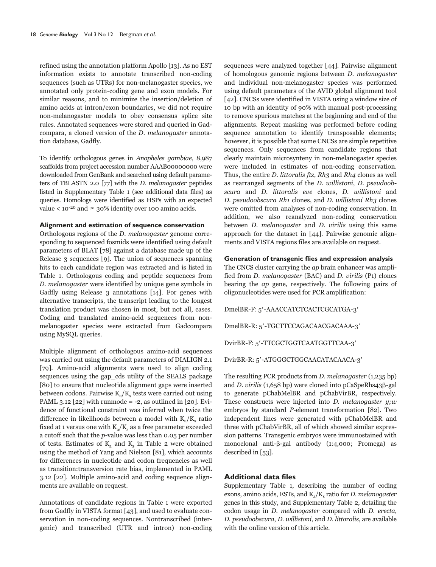refined using the annotation platform Apollo [13]. As no EST information exists to annotate transcribed non-coding sequences (such as UTRs) for non-melanogaster species, we annotated only protein-coding gene and exon models. For similar reasons, and to minimize the insertion/deletion of amino acids at intron/exon boundaries, we did not require non-melanogaster models to obey consensus splice site rules. Annotated sequences were stored and queried in Gadcompara, a cloned version of the D. melanogaster annotation database, Gadfly.

To identify orthologous genes in Anopheles gambiae, 8,987 scaffolds from project accession number AAAB00000000 were downloaded from GenBank and searched using default parameters of TBLASTN 2.0 [77] with the D. melanogaster peptides listed in Supplementary Table 1 (see additional data files) as queries. Homologs were identified as HSPs with an expected value  $\lt 10^{-20}$  and  $\geq 30\%$  identity over 100 amino acids.

#### **Alignment and estimation of sequence conservation**

Orthologous regions of the D. melanogaster genome corresponding to sequenced fosmids were identified using default parameters of BLAT [78] against a database made up of the Release 3 sequences [9]. The union of sequences spanning hits to each candidate region was extracted and is listed in Table 1. Orthologous coding and peptide sequences from D. melanogaster were identified by unique gene symbols in Gadfly using Release 3 annotations [14]. For genes with alternative transcripts, the transcript leading to the longest translation product was chosen in most, but not all, cases. Coding and translated amino-acid sequences from nonmelanogaster species were extracted from Gadcompara using MySQL queries.

Multiple alignment of orthologous amino-acid sequences was carried out using the default parameters of DIALIGN 2.1 [79]. Amino-acid alignments were used to align coding sequences using the gap\_cds utility of the SEALS package [80] to ensure that nucleotide alignment gaps were inserted between codons. Pairwise  $K_a/K_s$  tests were carried out using PAML 3.12 [22] with runmode = -2, as outlined in [20]. Evidence of functional constraint was inferred when twice the difference in likelihoods between a model with  $K_a/K_c$  ratio fixed at 1 versus one with  $K_a/K_s$  as a free parameter exceeded a cutoff such that the p-value was less than 0.05 per number of tests. Estimates of  $K_a$  and  $K_c$  in Table 2 were obtained using the method of Yang and Nielson [81], which accounts for differences in nucleotide and codon frequencies as well as transition:transversion rate bias, implemented in PAML 3.12 [22]. Multiple amino-acid and coding sequence alignments are available on request.

Annotations of candidate regions in Table 1 were exported from Gadfly in VISTA format [43], and used to evaluate conservation in non-coding sequences. Nontranscribed (intergenic) and transcribed (UTR and intron) non-coding sequences were analyzed together [44]. Pairwise alignment of homologous genomic regions between D. melanogaster and individual non-melanogaster species was performed using default parameters of the AVID global alignment tool [42]. CNCSs were identified in VISTA using a window size of 10 bp with an identity of 90% with manual post-processing to remove spurious matches at the beginning and end of the alignments. Repeat masking was performed before coding sequence annotation to identify transposable elements; however, it is possible that some CNCSs are simple repetitive sequences. Only sequences from candidate regions that clearly maintain microsynteny in non-melanogaster species were included in estimates of non-coding conservation. Thus, the entire D. littoralis ftz,  $Rh_3$  and  $Rh_4$  clones as well as rearranged segments of the D. willistoni, D. pseudoobscura and D. littoralis eve clones, D. willistoni and D. pseudoobscura Rh1 clones, and D. willistoni Rh3 clones were omitted from analyses of non-coding conservation. In addition, we also reanalyzed non-coding conservation between *D. melanogaster* and *D. virilis* using this same approach for the dataset in [44]. Pairwise genomic alignments and VISTA regions files are available on request.

### **Generation of transgenic flies and expression analysis**

The CNCS cluster carrying the *ap* brain enhancer was amplified from D. melanogaster (BAC) and D. virilis (P1) clones bearing the ap gene, respectively. The following pairs of oligonucleotides were used for PCR amplification:

DmelBR-F: 5-AAACCATCTCACTCGCATGA-3

DmelBR-R: 5'-TGCTTCCAGACAACGACAAA-3'

DvirBR-F: 5-TTCGCTGGTCAATGGTTCAA-3

DvirBR-R: 5-ATGGGCTGGCAACATACAACA-3

The resulting PCR products from *D. melanogaster* (1,235 bp) and D. virilis  $(1,658$  bp) were cloned into pCaSpeRhs43 $\beta$ -gal to generate pChabMelBR and pChabVirBR, respectively. These constructs were injected into  $D$ . melanogaster  $y; w$ embryos by standard P-element transformation [82]. Two independent lines were generated with pChabMelBR and three with pChabVirBR, all of which showed similar expression patterns. Transgenic embryos were immunostained with monoclonal anti- $\beta$ -gal antibody (1:4,000; Promega) as described in [53].

### **Additional data files**

Supplementary Table 1, describing the number of coding exons, amino acids, ESTs, and  $K_a/K_s$  ratio for *D. melanogaster* genes in this study, and Supplementary Table 2, detailing the codon usage in D. melanogaster compared with D. erecta, D. pseudoobscura, D. willistoni, and D. littoralis, are available with the online version of this article.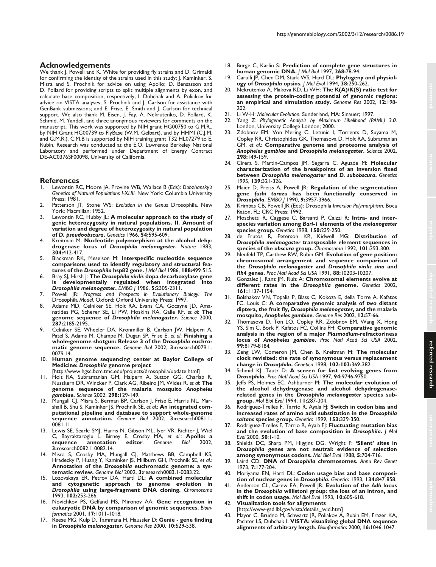We thank J. Powell and K. White for providing fly strains and D. Grimaldi for confirming the identity of the strains used in this study; J. Kaminker, S. Misra and S. Prochnik for advice on using Apollo; D. Bensasson and D. Pollard for providing scripts to split multiple alignments by exon, and calculate base composition, respectively; I. Dubchak and A. Poliakov for advice on VISTA analyses; S. Prochnik and J. Carlson for assistance with GenBank submissions; and E. Frise, E. Smith and J. Carlson for technical support. We also thank M. Eisen, J. Fay, A. Nekrutenko, D. Pollard, K. Schmid, M. Yandell, and three anonymous reviewers for comments on the manuscript. This work was supported by NIH grant HG00750 to G.M.R., by NIH Grant HG00739 to FlyBase (W.M. Gelbart), and by HHMI (C.I.M. and G.M.R.). C.M.B is supported by NIH training grant T32 HL07279 to E. Rubin. Research was conducted at the E.O. Lawrence Berkeley National Laboratory and performed under Department of Energy Contract DE-AC0376SF00098, University of California.

#### **References**

- 1. Lewontin RC, Moore JA, Provine WB, Wallace B (Eds): *Dobzhansky's Genetics of Natural Populations I-XLIII.* New York: Columbia University Press; 1981.
- 2. Patterson JT, Stone WS: *Evolution in the Genus* Drosophila*.* New York: Macmillan; 1952.
- 3. Lewontin RC, Hubby JL: **A molecular approach to the study of genic heterozygosity in natural populations. II. Amount of variation and degree of heterozygosity in natural population of** *D. pseudoobscura***.** *Genetics* 1966, **54:**595-609.
- 4. Kreitman M: **Nucleotide polymorphism at the alcohol dehydrogenase locus of** *Drosophila melanogaster***.** *Nature* 1983, **304:**412-417.
- 5. Blackman RK, Meselson M: **Interspecific nucleotide sequence comparisons used to identify regulatory and structural features of the** *Drosophila* **hsp82 gene.** *J Mol Biol* 1986, **188:**499-515.
- 6. Bray SJ, Hirsh J: **The** *Drosophila virilis* **dopa decarboxylase gene is developmentally regulated when integrated into** *Drosophila melanogaster***.** *EMBO J* 1986, **5:**2305-2311.
- 7. Powell JR: *Progress and Prospects in Evolutionary Biology: The* Drosophila *Model.* Oxford: Oxford University Press; 1997.
- 8. Adams MD, Celniker SE, Holt RA, Evans CA, Gocayne JD, Amanatides PG, Scherer SE, Li PW, Hoskins RA, Galle RF, *et al*: **The genome sequence of** *Drosophila melanogaster***.** *Science* 2000, **287:**2185-2195.
- 9. Celniker SE, Wheeler DA, Kronmiller B, Carlson JW, Halpern A, Patel S, Adams M, Champe M, Dugan SP, Frise E, *et al*: **Finishing a whole-genome shotgun: Release 3 of the** *Drosophila* **euchromatic genome sequence.** *Genome Biol* 2002, **3:**research0079.1- 0079.14.
- 10. **Human genome sequencing center at Baylor College of Medicine:** *Drosophila* **genome project**
- [http://www.hgsc.bcm.tmc.edu/projects/drosophila/update.html]
- 11. Holt RA, Subramanian GM, Halpern A, Sutton GG, Charlab R, Nusskern DR, Wincker P, Clark AG, Ribeiro JM, Wides R, *et al*: **The genome sequence of the malaria mosquito** *Anopheles gambiae***.** *Science* 2002, **298:**129-149.
- 12. Mungall CJ, Misra S, Berman BP, Carlson J, Frise E, Harris NL, Marshall B, Shu S, Kaminker JS, Prochnik SE, *et al.*: **An integrated computational pipeline and database to support whole-genome sequence annotation.** *Genome Biol* 2002, **3:**research0081.1- 0081.11.
- 13. Lewis SE, Searle SMJ, Harris N, Gibson ML, Iyer VR, Richter J, Wiel C, Bayraktaroglu L, Birney E, Crosby MA, *et al*.: **Apollo: a**  $annotation$ **3:**research0082.1-0082.14.
- 14. Misra S, Crosby MA, Mungall CJ, Matthews BB, Campbell KS, Hradecky P, Huang Y, Kaminker JS, Millburn GH, Prochnik SE, *et al*.: **Annotation of the** *Drosophila* **euchromatic genome: a systematic review.** *Genome Biol* 2002, **3:**research0083.1-0083.22.
- 15. Lozovskaya ER, Petrov DA, Hartl DL: **A combined molecular and cytogenetic approach to genome evolution in** *Drosophila* **using large-fragment DNA cloning.** *Chromosoma* 1993, **102:**253-266.
- 16. Novichkov PS, Gelfand MS, Mironov AA: **Gene recognition in eukaryotic DNA by comparison of genomic sequences.** *Bioinformatics* 2001, **17:**1011-1018.
- 17. Reese MG, Kulp D, Tammana H, Haussler D: **Genie gene finding in** *Drosophila melanogaster***.** *Genome Res* 2000, **10:**529-538.
- 18. Burge C, Karlin S: **Prediction of complete gene structures in human genomic DNA.** *J Mol Biol* 1997, **268:**78-94.
- 19. Carulli JP, Chen DM, Stark WS, Hartl DL: **Phylogeny and physiology of** *Drosophila* **opsins.** *J Mol Evol* 1994, **38:**250-262.
- 20. Nekrutenko A, Makova KD, Li WH: **The K(A)/K(S) ratio test for assessing the protein-coding potential of genomic regions: an empirical and simulation study.** *Genome Res* 2002, **12:**198- 202.
- 21. Li W-H: *Molecular Evolution.* Sunderland, MA: Sinauer; 1997.
- 22. Yang Z: *Phylogenetic Analysis by Maximum Likelihood (PAML) 3.0.* London, University College London; 2000.
- 23. Zdobnov EM, Von Mering C, Letunic I, Torrents D, Suyama M, Copley RR, Christophides GK, Thomasova D, Holt RA, Subramanian GM, *et al*.: **Comparative genome and proteome analysis of** *Anopheles gambiae* **and** *Drosophila melanogaster***.** *Science* 2002, **298:**149-159.
- 24. Cirera S, Martin-Campos JM, Segarra C, Aguade M: **Molecular characterization of the breakpoints of an inversion fixed between** *Drosophila melanogaster* **and** *D. subobscura***.** *Genetics* 1995, **139:**321-326.
- 25. Maier D, Preiss A, Powell JR: **Regulation of the segmentation gene** *fushi tarazu* **has been functionally conserved in** *Drosophila***.** *EMBO J* 1990, **9:**3957-3966.
- 26. Krimbas CB, Powell JR (Eds): Drosophila *Inversion Polymorphism.* Boca Raton, FL: CRC Press; 1992.
- 27. Moschetti R, Caggese C, Barsanti P, Caizzi R: **Intra- and interspecies variation among** *Bari-1* **elements of the** *melanogaster* **species group.** *Genetics* 1998, **150:**239-250.
- 28. de Frutos R, Peterson KR, Kidwell MG: **Distribution of** *Drosophila melanogaster* **transposable element sequences in species of the** *obscura* **group.** *Chromosoma* 1992, **101:**293-300.
- 29. Neufeld TP, Carthew RW, Rubin GM: **Evolution of gene position: chromosomal arrangement and sequence comparison of the** *Drosophila melanogaster* **and** *Drosophila virilis sina* **and** *Rh4* **genes.** *Proc Natl Acad Sci USA* 1991, **88:**10203-10207.
- 30. Gonzalez J, Ranz JM, Ruiz A: **Chromosomal elements evolve at different rates in the** *Drosophila* **genome.** *Genetics* 2002, **161:**1137-1154.
- 31. Bolshakov VN, Topalis P, Blass C, Kokoza E, della Torre A, Kafatos FC, Louis C: **A comparative genomic analysis of two distant diptera, the fruit fly,** *Drosophila melanogaster***, and the malaria mosquito,** *Anopheles gambiae***.** *Genome Res* 2002, **12:**57-66.
- 32. Thomasova D, Ton LQ, Copley RR, Zdobnov EM, Wang X, Hong YS, Sim C, Bork P, Kafatos FC, Collins FH: **Comparative genomic analysis in the region of a major** *Plasmodium***-refractoriness locus of** *Anopheles gambiae***.** *Proc Natl Acad Sci USA* 2002, **99:**8179-8184.
- 33. Zeng LW, Comeron JM, Chen B, Kreitman M: **The molecular clock revisited: the rate of synonymous versus replacement change in** *Drosophila***.** *Genetica* 1998, **102-103:**369-382.
- 34. Schmid KJ, Tautz D: **A screen for fast evolving genes from** *Drosophila***.** *Proc Natl Acad Sci USA* 1997, **94:**9746-9750.
- 35. Jeffs PS, Holmes EC, Ashburner M: **The molecular evolution of the alcohol dehydrogenase and alcohol dehydrogenaserelated genes in the** *Drosophila melanogaster* **species subgroup.** *Mol Biol Evol* 1994, **11:**287-304.
- 36. Rodriguez-Trelles F, Tarrio R, Ayala FJ: **Switch in codon bias and increased rates of amino acid substitution in the** *Drosophila saltans* **species group.** *Genetics* 1999, **153:**339-350.
- 37. Rodriguez-Trelles F, Tarrio R, Ayala F|: **Fluctuating mutation bias and the evolution of base composition in** *Drosophila***.** *J Mol Evol* 2000, **50**:1-10.
- 38. Shields DC, Sharp PM, Higgins DG, Wright F: **'Silent' sites in** *Drosophila* **genes are not neutral: evidence of selection among synonymous codons.** *Mol Biol Evol* 1988, **5:**704-716.
- 39. Laird CD: **DNA of** *Drosophila* **chromosomes.** *Annu Rev Genet* 1973, **7:**177-204.
- 40. Moriyama EN, Hartl DL: **Codon usage bias and base composition of nuclear genes in** *Drosophila***.** *Genetics* 1993, **134:**847-858.
- 41. Anderson CL, Carew EA, Powell JR: **Evolution of the** *Adh* **locus in the** *Drosophila* **willistoni group: the loss of an intron, and shift in codon usage.** *Mol Biol Evol* 1993, **10:**605-618.
- 42. **Visualization tools for alignments**

[http://www-gsd.lbl.gov/vista/details\_avid.htm]

43. Mayor C, Brudno M, Schwartz JR, Poliakov A, Rubin EM, Frazer KA, Pachter LS, Dubchak I: **VISTA: visualizing global DNA sequence alignments of arbitrary length.** *Bioinformatics* 2000, **16:**1046-1047.